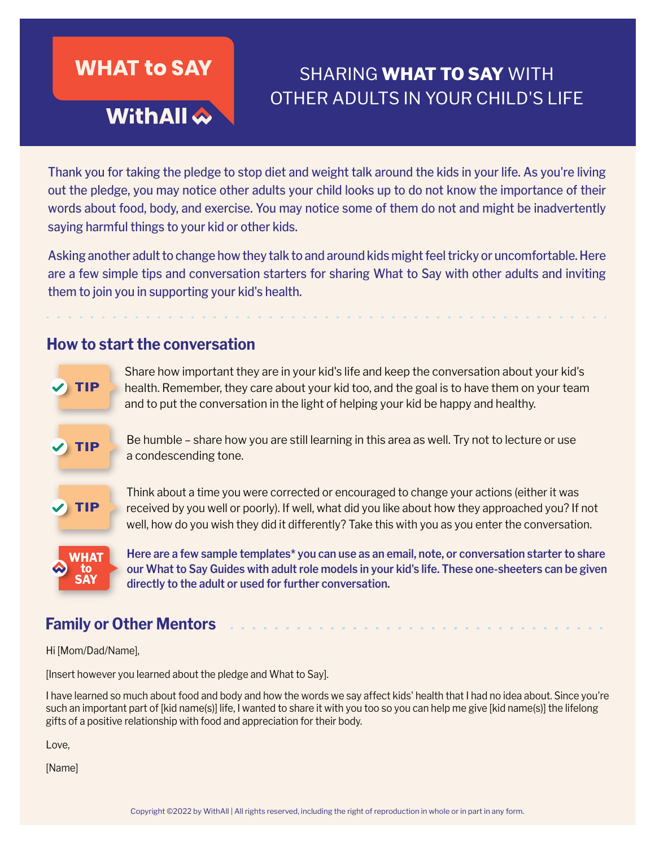

# SHARING **WHAT TO SAY** WITH OTHER ADULTS IN YOUR CHILD'S LIFE

Thank you for taking the pledge to stop diet and weight talk around the kids in your life. As you're living out the pledge, you may notice other adults your child looks up to do not know the importance of their words about food, body, and exercise. You may notice some of them do not and might be inadvertently saying harmful things to your kid or other kids.

Asking another adult to change how they talk to and around kids might feel tricky or uncomfortable. Here are a few simple tips and conversation starters for sharing What to Say with other adults and inviting them to join you in supporting your kid's health.

#### **How to start the conversation**



health. Remember, they care about your kid too, and the goal is to have them on your team and to put the conversation in the light of helping your kid be happy and healthy.

Share how important they are in your kid's life and keep the conversation about your kid's

**TIP** Be humble – share how you are still learning in this area as well. Try not to lecture or use a condescending tone.

> Think about a time you were corrected or encouraged to change your actions (either it was received by you well or poorly). If well, what did you like about how they approached you? If not well, how do you wish they did it differently? Take this with you as you enter the conversation.

**Here are a few sample templates\* you can use as an email, note, or conversation starter to share our What to Say Guides with adult role models in your kid's life. These one-sheeters can be given directly to the adult or used for further conversation.**

### **Family or Other Mentors**

Hi [Mom/Dad/Name],

[Insert however you learned about the pledge and What to Say].

I have learned so much about food and body and how the words we say affect kids' health that I had no idea about. Since you're such an important part of [kid name(s)] life, I wanted to share it with you too so you can help me give [kid name(s)] the lifelong gifts of a positive relationship with food and appreciation for their body.

Love,

[Name]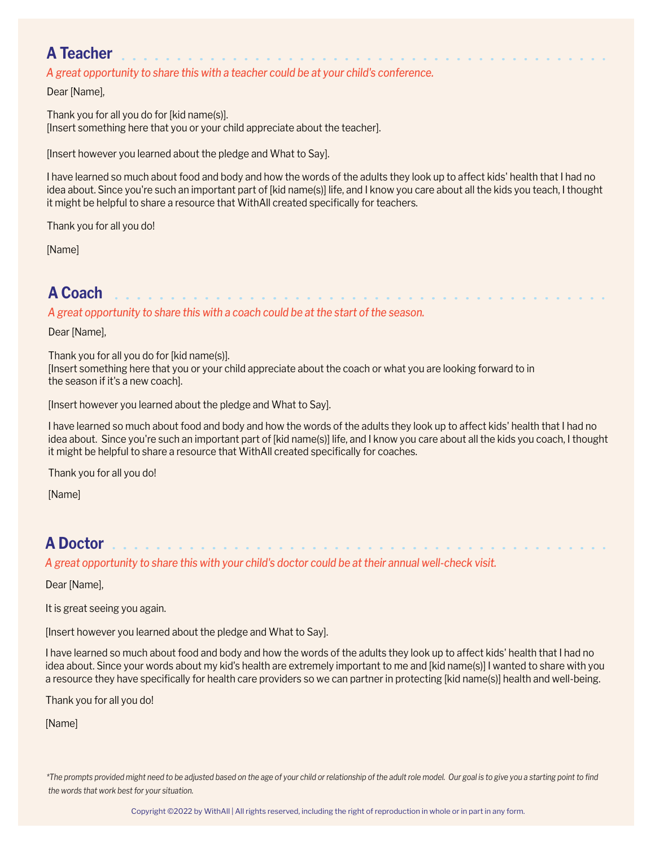# **A Teacher**

*A great opportunity to share this with a teacher could be at your child's conference.*

Dear [Name],

Thank you for all you do for [kid name(s)]. [Insert something here that you or your child appreciate about the teacher].

[Insert however you learned about the pledge and What to Say].

I have learned so much about food and body and how the words of the adults they look up to affect kids' health that I had no idea about. Since you're such an important part of [kid name(s)] life, and I know you care about all the kids you teach, I thought it might be helpful to share a resource that WithAll created specifically for teachers.

a constitution of the constitution of the constitution of the constitution of the constitution of the constitution of the constitution of the constitution of the constitution of the constitution of the constitution of the

. . . . . . . . . . . . .

Thank you for all you do!

[Name]

### **A Coach**

*A great opportunity to share this with a coach could be at the start of the season.*

Dear [Name],

Thank you for all you do for [kid name(s)]. [Insert something here that you or your child appreciate about the coach or what you are looking forward to in the season if it's a new coach].

[Insert however you learned about the pledge and What to Say].

I have learned so much about food and body and how the words of the adults they look up to affect kids' health that I had no idea about. Since you're such an important part of [kid name(s)] life, and I know you care about all the kids you coach, I thought it might be helpful to share a resource that WithAll created specifically for coaches.

Thank you for all you do!

[Name]

# **A Doctor**

*A great opportunity to share this with your child's doctor could be at their annual well-check visit.*

Dear [Name],

It is great seeing you again.

[Insert however you learned about the pledge and What to Say].

I have learned so much about food and body and how the words of the adults they look up to affect kids' health that I had no idea about. Since your words about my kid's health are extremely important to me and [kid name(s)] I wanted to share with you a resource they have specifically for health care providers so we can partner in protecting [kid name(s)] health and well-being.

Thank you for all you do!

[Name]

*\*The prompts provided might need to be adjusted based on the age of your child or relationship of the adult role model. Our goal is to give you a starting point to find the words that work best for your situation.*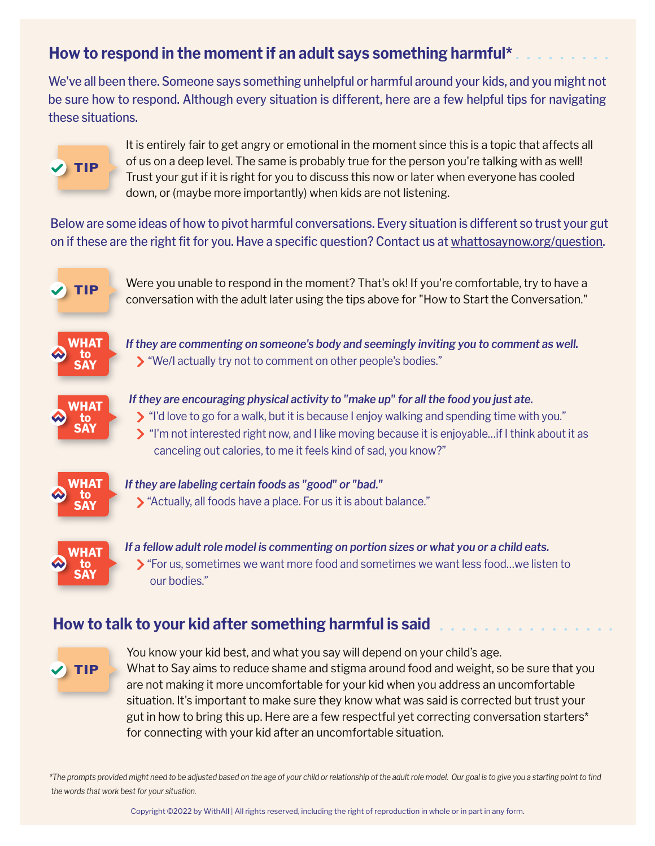# **How to respond in the moment if an adult says something harmful\***

We've all been there. Someone says something unhelpful or harmful around your kids, and you might not be sure how to respond. Although every situation is different, here are a few helpful tips for navigating these situations.



It is entirely fair to get angry or emotional in the moment since this is a topic that affects all of us on a deep level. The same is probably true for the person you're talking with as well! Trust your gut if it is right for you to discuss this now or later when everyone has cooled down, or (maybe more importantly) when kids are not listening.

Below are some ideas of how to pivot harmful conversations. Every situation is different so trust your gut on if these are the right fit for you. Have a specific question? Contact us at [whattosaynow.org/question](https://www.tfaforms.com/4884336).



**TIP** Were you unable to respond in the moment? That's ok! If you're comfortable, try to have a conversation with the adult later using the tips above for "How to Start the Conversation."



*If they are commenting on someone's body and seemingly inviting you to comment as well.* "We/I actually try not to comment on other people's bodies."



*If they are encouraging physical activity to "make up" for all the food you just ate.*

- "I'd love to go for a walk, but it is because I enjoy walking and spending time with you."
- $\triangleright$  "I'm not interested right now, and I like moving because it is enjoyable...if I think about it as canceling out calories, to me it feels kind of sad, you know?"



*If they are labeling certain foods as "good" or "bad."* "Actually, all foods have a place. For us it is about balance."



*If a fellow adult role model is commenting on portion sizes or what you or a child eats.* **>** "For us, sometimes we want more food and sometimes we want less food...we listen to our bodies."

### **How to talk to your kid after something harmful is said**



You know your kid best, and what you say will depend on your child's age. What to Say aims to reduce shame and stigma around food and weight, so be sure that you are not making it more uncomfortable for your kid when you address an uncomfortable situation. It's important to make sure they know what was said is corrected but trust your gut in how to bring this up. Here are a few respectful yet correcting conversation starters\* for connecting with your kid after an uncomfortable situation.

*\*The prompts provided might need to be adjusted based on the age of your child or relationship of the adult role model. Our goal is to give you a starting point to find the words that work best for your situation.*